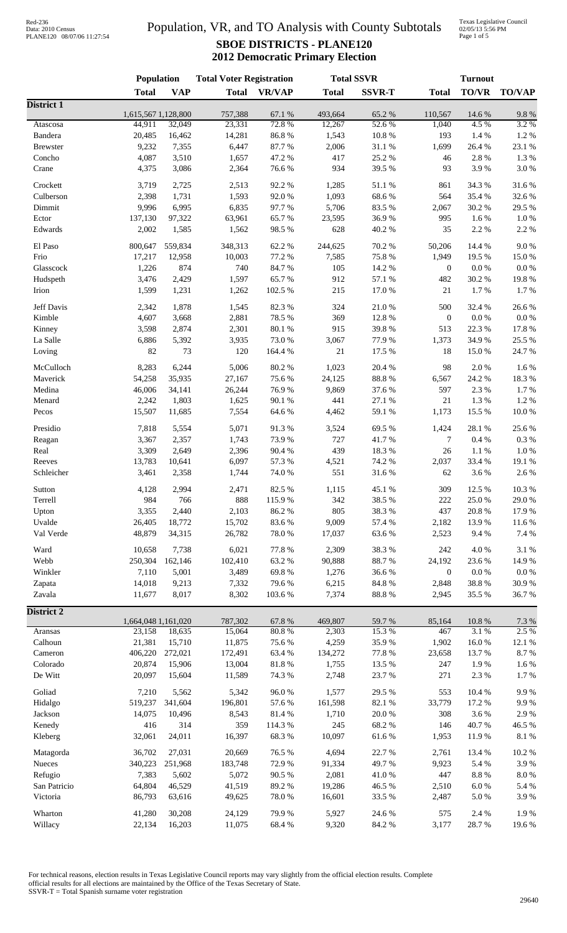## Population, VR, and TO Analysis with County Subtotals **SBOE DISTRICTS - PLANE120 2012 Democratic Primary Election**

Texas Legislative Council 02/05/13 5:56 PM Page 1 of 5

|                       | Population                    |                | <b>Total Voter Registration</b> |                 | <b>Total SSVR</b> |                 | <b>Turnout</b>   |                  |                    |  |
|-----------------------|-------------------------------|----------------|---------------------------------|-----------------|-------------------|-----------------|------------------|------------------|--------------------|--|
|                       | <b>Total</b>                  | <b>VAP</b>     | <b>Total</b>                    | <b>VR/VAP</b>   | <b>Total</b>      | <b>SSVR-T</b>   | <b>Total</b>     | <b>TO/VR</b>     | <b>TO/VAP</b>      |  |
| District 1            |                               |                |                                 |                 |                   |                 |                  |                  |                    |  |
| Atascosa              | 1,615,567 1,128,800<br>44,911 | 32,049         | 757,388<br>23,331               | 67.1 %<br>72.8% | 493,664<br>12,267 | 65.2%<br>52.6%  | 110,567<br>1,040 | 14.6 %<br>4.5 %  | $9.8\ \%$<br>3.2 % |  |
| Bandera               | 20,485                        | 16,462         | 14,281                          | 86.8%           | 1,543             | 10.8%           | 193              | 1.4 %            | 1.2 %              |  |
| <b>Brewster</b>       | 9,232                         | 7,355          | 6,447                           | 87.7%           | 2,006             | 31.1 %          | 1,699            | 26.4 %           | 23.1 %             |  |
| Concho                | 4,087                         | 3,510          | 1,657                           | 47.2 %          | 417               | 25.2 %          | 46               | 2.8 %            | 1.3%               |  |
| Crane                 | 4,375                         | 3,086          | 2,364                           | 76.6%           | 934               | 39.5 %          | 93               | 3.9%             | $3.0\ \%$          |  |
|                       |                               |                |                                 |                 |                   |                 |                  |                  |                    |  |
| Crockett<br>Culberson | 3,719<br>2,398                | 2,725<br>1,731 | 2,513<br>1,593                  | 92.2%<br>92.0%  | 1,285<br>1,093    | 51.1 %<br>68.6% | 861<br>564       | 34.3 %<br>35.4 % | 31.6%<br>32.6%     |  |
| Dimmit                | 9,996                         | 6,995          | 6,835                           | 97.7%           | 5,706             | 83.5%           | 2,067            | 30.2%            | 29.5 %             |  |
| Ector                 | 137,130                       | 97,322         | 63,961                          | 65.7%           | 23,595            | 36.9%           | 995              | 1.6%             | $1.0\ \%$          |  |
| Edwards               | 2,002                         | 1,585          | 1,562                           | 98.5%           | 628               | 40.2 %          | 35               | 2.2 %            | 2.2 %              |  |
|                       |                               |                |                                 |                 |                   |                 |                  |                  |                    |  |
| El Paso               | 800,647                       | 559,834        | 348,313                         | 62.2%           | 244,625           | 70.2 %          | 50,206           | 14.4 %           | 9.0%               |  |
| Frio                  | 17,217                        | 12,958         | 10,003                          | 77.2 %          | 7,585             | 75.8%           | 1,949            | 19.5 %           | 15.0%              |  |
| Glasscock             | 1,226                         | 874            | 740                             | 84.7%           | 105               | 14.2 %          | $\boldsymbol{0}$ | $0.0\ \%$        | $0.0\ \%$          |  |
| Hudspeth              | 3,476                         | 2,429          | 1,597                           | 65.7%           | 912               | 57.1 %          | 482              | 30.2%            | 19.8%              |  |
| Irion                 | 1,599                         | 1,231          | 1,262                           | 102.5 %         | 215               | 17.0%           | $21\,$           | 1.7%             | 1.7%               |  |
| Jeff Davis            | 2,342                         | 1,878          | 1,545                           | 82.3%           | 324               | 21.0%           | 500              | 32.4 %           | 26.6%              |  |
| Kimble                | 4,607                         | 3,668          | 2,881                           | 78.5 %          | 369               | 12.8 %          | $\boldsymbol{0}$ | $0.0\ \%$        | $0.0\ \%$          |  |
| Kinney                | 3,598                         | 2,874          | 2,301                           | 80.1 %          | 915               | 39.8%           | 513              | 22.3 %           | 17.8 %             |  |
| La Salle              | 6,886                         | 5,392          | 3,935                           | 73.0%           | 3,067             | 77.9%           | 1,373            | 34.9%            | 25.5 %             |  |
| Loving                | 82                            | 73             | 120                             | 164.4 %         | $21\,$            | 17.5 %          | 18               | 15.0%            | 24.7 %             |  |
| McCulloch             | 8,283                         | 6,244          | 5,006                           | 80.2%           | 1,023             | 20.4 %          | 98               | $2.0\ \%$        | 1.6%               |  |
| Maverick              | 54,258                        | 35,935         | 27,167                          | 75.6%           | 24,125            | 88.8 %          | 6,567            | 24.2 %           | 18.3%              |  |
| Medina                | 46,006                        | 34,141         | 26,244                          | 76.9%           | 9,869             | 37.6%           | 597              | 2.3 %            | 1.7%               |  |
| Menard                | 2,242                         | 1,803          | 1,625                           | 90.1 %          | 441               | 27.1 %          | 21               | 1.3%             | 1.2%               |  |
| Pecos                 | 15,507                        | 11,685         | 7,554                           | 64.6%           | 4,462             | 59.1 %          | 1,173            | 15.5 %           | 10.0%              |  |
|                       |                               |                |                                 |                 |                   |                 |                  |                  |                    |  |
| Presidio              | 7,818                         | 5,554          | 5,071                           | 91.3%           | 3,524             | 69.5%           | 1,424            | 28.1 %           | 25.6%              |  |
| Reagan                | 3,367                         | 2,357          | 1,743                           | 73.9%           | 727               | 41.7%           | $\tau$           | $0.4~\%$         | $0.3~\%$           |  |
| Real                  | 3,309                         | 2,649          | 2,396                           | 90.4 %          | 439               | 18.3%           | $26\,$           | $1.1\ \%$        | $1.0\ \%$          |  |
| Reeves                | 13,783                        | 10,641         | 6,097                           | 57.3 %          | 4,521             | 74.2 %          | 2,037            | 33.4 %           | 19.1 %             |  |
| Schleicher            | 3,461                         | 2,358          | 1,744                           | 74.0%           | 551               | 31.6%           | 62               | 3.6%             | 2.6%               |  |
| Sutton                | 4,128                         | 2,994          | 2,471                           | 82.5 %          | 1,115             | 45.1 %          | 309              | 12.5 %           | 10.3 %             |  |
| Terrell               | 984                           | 766            | 888                             | 115.9%          | 342               | 38.5%           | 222              | 25.0%            | 29.0 %             |  |
| Upton                 | 3,355                         | 2,440          | 2,103                           | 86.2%           | 805               | 38.3%           | 437              | 20.8 %           | 17.9%              |  |
| Uvalde                | 26,405                        | 18,772         | 15,702                          | 83.6%           | 9,009             | 57.4 %          | 2,182            | 13.9%            | 11.6%              |  |
| Val Verde             | 48,879                        | 34,315         | 26,782                          | 78.0%           | 17,037            | 63.6%           | 2,523            | 9.4%             | 7.4 %              |  |
| Ward                  | 10,658                        | 7,738          | 6,021                           | 77.8 %          | 2,309             | 38.3%           | 242              | 4.0%             | 3.1 %              |  |
| Webb                  | 250,304                       | 162,146        | 102,410                         | 63.2%           | 90,888            | 88.7%           | 24,192           | 23.6%            | 14.9%              |  |
| Winkler               | 7,110                         | 5,001          | 3,489                           | 69.8%           | 1,276             | 36.6%           | $\boldsymbol{0}$ | $0.0\ \%$        | $0.0\ \%$          |  |
| Zapata                | 14,018                        | 9,213          | 7,332                           | 79.6%           | 6,215             | 84.8 %          | 2,848            | 38.8 %           | 30.9%              |  |
| Zavala                | 11,677                        | 8,017          | 8,302                           | 103.6%          | 7,374             | 88.8 %          | 2,945            | 35.5 %           | 36.7%              |  |
|                       |                               |                |                                 |                 |                   |                 |                  |                  |                    |  |
| <b>District 2</b>     |                               |                |                                 |                 |                   |                 |                  |                  |                    |  |
| Aransas               | 1,664,048 1,161,020<br>23,158 | 18,635         | 787,302<br>15,064               | 67.8 %<br>80.8% | 469,807<br>2,303  | 59.7%<br>15.3%  | 85,164<br>467    | 10.8%<br>3.1 %   | 7.3 %<br>2.5 %     |  |
| Calhoun               | 21,381                        | 15,710         | 11,875                          | 75.6%           | 4,259             | 35.9%           | 1,902            | $16.0\ \%$       | 12.1 %             |  |
| Cameron               | 406,220                       | 272,021        | 172,491                         | 63.4%           | 134,272           | 77.8 %          | 23,658           | 13.7%            | $8.7~\%$           |  |
| Colorado              | 20,874                        | 15,906         | 13,004                          | $81.8\ \%$      | 1,755             | 13.5 %          | 247              | 1.9%             | 1.6 %              |  |
| De Witt               | 20,097                        | 15,604         | 11,589                          | 74.3 %          | 2,748             | 23.7%           | 271              | $2.3~\%$         | 1.7%               |  |
|                       |                               |                |                                 |                 |                   |                 |                  |                  |                    |  |
| Goliad                | 7,210                         | 5,562          | 5,342                           | 96.0%           | 1,577             | 29.5 %          | 553              | 10.4 %           | 9.9%               |  |
| Hidalgo               | 519,237                       | 341,604        | 196,801                         | 57.6%           | 161,598           | 82.1 %          | 33,779           | 17.2 %           | 9.9%               |  |
| Jackson               | 14,075                        | 10,496         | 8,543                           | 81.4 %          | 1,710             | 20.0%           | 308              | 3.6 %            | 2.9%               |  |
| Kenedy                | 416                           | 314            | 359                             | 114.3 %         | 245               | 68.2%           | 146              | 40.7%            | 46.5 %             |  |
| Kleberg               | 32,061                        | 24,011         | 16,397                          | 68.3%           | 10,097            | 61.6%           | 1,953            | 11.9%            | $8.1~\%$           |  |
| Matagorda             | 36,702                        | 27,031         | 20,669                          | 76.5 %          | 4,694             | 22.7 %          | 2,761            | 13.4 %           | 10.2%              |  |
| Nueces                | 340,223                       | 251,968        | 183,748                         | 72.9%           | 91,334            | 49.7%           | 9,923            | 5.4 %            | 3.9%               |  |
| Refugio               | 7,383                         | 5,602          | 5,072                           | 90.5 %          | 2,081             | $41.0\ \%$      | 447              | $8.8\ \%$        | $8.0\ \%$          |  |
| San Patricio          | 64,804                        | 46,529         | 41,519                          | 89.2%           | 19,286            | 46.5 %          | 2,510            | $6.0\ \%$        | 5.4 %              |  |
| Victoria              | 86,793                        | 63,616         | 49,625                          | 78.0%           | 16,601            | 33.5 %          | 2,487            | 5.0%             | 3.9%               |  |
|                       |                               |                |                                 |                 |                   |                 |                  |                  |                    |  |
| Wharton               | 41,280                        | 30,208         | 24,129                          | 79.9%<br>68.4%  | 5,927             | 24.6 %          | 575              | 2.4 %            | 1.9%               |  |
| Willacy               | 22,134                        | 16,203         | 11,075                          |                 | 9,320             | 84.2 %          | 3,177            | 28.7%            | 19.6%              |  |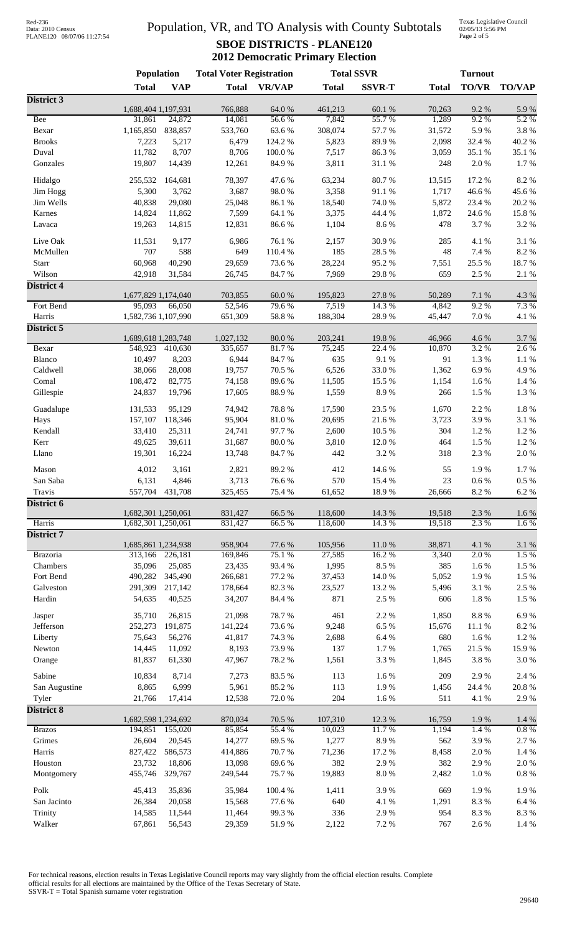# Data: 2010 Census PLANE120 08/07/06 11:27:54

## Population, VR, and TO Analysis with County Subtotals **SBOE DISTRICTS - PLANE120 2012 Democratic Primary Election**

Texas Legislative Council 02/05/13 5:56 PM Page 2 of 5

|                   | <b>Population</b>             |                  | <b>Total Voter Registration</b> |                 | <b>Total SSVR</b> |                  |                 | <b>Turnout</b>    |                  |
|-------------------|-------------------------------|------------------|---------------------------------|-----------------|-------------------|------------------|-----------------|-------------------|------------------|
|                   | <b>Total</b>                  | <b>VAP</b>       | <b>Total</b>                    | <b>VR/VAP</b>   | <b>Total</b>      | <b>SSVR-T</b>    | <b>Total</b>    | <b>TO/VR</b>      | <b>TO/VAP</b>    |
| District 3        |                               |                  |                                 |                 |                   |                  |                 |                   |                  |
| <b>Bee</b>        | 1,688,404 1,197,931           | 24,872           | 766,888                         | 64.0%           | 461,213<br>7,842  | 60.1%<br>55.7%   | 70,263<br>1,289 | 9.2%<br>9.2%      | 5.9%<br>5.2 %    |
| Bexar             | 31,861<br>1,165,850           | 838,857          | 14,081<br>533,760               | 56.6%<br>63.6%  | 308,074           | 57.7 %           | 31,572          | 5.9%              | 3.8 %            |
| <b>Brooks</b>     | 7,223                         | 5,217            | 6,479                           | 124.2 %         | 5,823             | 89.9%            | 2,098           | 32.4 %            | 40.2 %           |
| Duval             | 11,782                        | 8,707            | 8,706                           | $100.0~\%$      | 7,517             | 86.3%            | 3,059           | 35.1 %            | 35.1 %           |
| Gonzales          | 19,807                        | 14,439           | 12,261                          | 84.9%           | 3,811             | $31.1\text{ }\%$ | 248             | 2.0%              | 1.7%             |
|                   |                               |                  |                                 |                 |                   |                  |                 |                   |                  |
| Hidalgo           | 255,532                       | 164,681          | 78,397                          | 47.6 %          | 63,234            | 80.7%            | 13,515          | 17.2 %            | 8.2 %            |
| Jim Hogg          | 5,300                         | 3,762            | 3,687                           | 98.0%           | 3,358             | 91.1 %           | 1,717           | 46.6%             | 45.6%            |
| Jim Wells         | 40,838                        | 29,080           | 25,048                          | 86.1 %          | 18,540            | 74.0 %<br>44.4 % | 5,872<br>1,872  | 23.4 %            | $20.2~\%$        |
| Karnes<br>Lavaca  | 14,824<br>19,263              | 11,862<br>14,815 | 7,599<br>12,831                 | 64.1 %<br>86.6% | 3,375<br>1,104    | $8.6\;\%$        | 478             | 24.6 %<br>3.7%    | 15.8%<br>3.2 %   |
|                   |                               |                  |                                 |                 |                   |                  |                 |                   |                  |
| Live Oak          | 11,531                        | 9,177            | 6,986                           | 76.1 %          | 2,157             | 30.9%            | 285             | 4.1 %             | 3.1 %            |
| McMullen          | 707                           | 588              | 649                             | 110.4 %         | 185               | 28.5 %           | 48              | 7.4 %             | 8.2 %            |
| Starr             | 60,968                        | 40,290           | 29,659                          | 73.6%           | 28,224            | 95.2%            | 7,551           | 25.5 %            | 18.7%            |
| Wilson            | 42,918                        | 31,584           | 26,745                          | 84.7%           | 7,969             | 29.8%            | 659             | 2.5 %             | $2.1~\%$         |
| <b>District 4</b> |                               |                  |                                 |                 |                   |                  |                 |                   |                  |
| Fort Bend         | 1,677,829 1,174,040<br>95,093 | 66,050           | 703,855<br>52,546               | 60.0%<br>79.6%  | 195,823<br>7,519  | 27.8 %<br>14.3 % | 50,289<br>4,842 | $7.1~\%$<br>9.2%  | 4.3 %<br>7.3 %   |
| Harris            | 1,582,736 1,107,990           |                  | 651,309                         | 58.8%           | 188,304           | 28.9%            | 45,447          | 7.0 %             | 4.1 %            |
| District 5        |                               |                  |                                 |                 |                   |                  |                 |                   |                  |
|                   | 1,689,618 1,283,748           |                  | 1,027,132                       | 80.0%           | 203,241           | 19.8%            | 46,966          | 4.6 %             | 3.7 %            |
| Bexar             | 548,923                       | 410,630          | 335,657                         | 81.7%           | 75,245            | 22.4 %           | 10,870          | 3.2 %             | 2.6 %            |
| Blanco            | 10,497                        | 8,203            | 6,944                           | 84.7%           | 635               | 9.1%             | 91              | 1.3%              | $1.1~\%$         |
| Caldwell          | 38,066                        | 28,008           | 19,757                          | 70.5 %          | 6,526             | 33.0%            | 1,362           | 6.9%              | 4.9%             |
| Comal             | 108,472                       | 82,775           | 74,158                          | 89.6%           | 11,505            | 15.5 %           | 1,154           | 1.6%              | $1.4~\%$         |
| Gillespie         | 24,837                        | 19,796           | 17,605                          | 88.9%           | 1,559             | 8.9%             | 266             | 1.5 %             | 1.3 %            |
| Guadalupe         | 131,533                       | 95,129           | 74,942                          | 78.8%           | 17,590            | 23.5 %           | 1,670           | 2.2 %             | $1.8~\%$         |
| Hays              | 157,107                       | 118,346          | 95,904                          | $81.0\ \%$      | 20,695            | 21.6%            | 3,723           | 3.9%              | 3.1 %            |
| Kendall           | 33,410                        | 25,311           | 24,741                          | 97.7%           | 2,600             | 10.5 %           | 304             | 1.2%              | 1.2 %            |
| Kerr              | 49,625                        | 39,611           | 31,687                          | 80.0%           | 3,810             | $12.0\ \%$       | 464             | 1.5 %             | 1.2%             |
| Llano             | 19,301                        | 16,224           | 13,748                          | 84.7%           | 442               | 3.2 %            | 318             | 2.3 %             | $2.0\ \%$        |
|                   |                               |                  |                                 |                 |                   |                  |                 |                   |                  |
| Mason<br>San Saba | 4,012<br>6,131                | 3,161<br>4,846   | 2,821                           | 89.2%<br>76.6%  | 412<br>570        | 14.6 %<br>15.4 % | 55<br>$23\,$    | 1.9%<br>$0.6\ \%$ | 1.7%<br>$0.5~\%$ |
| Travis            | 557,704                       | 431,708          | 3,713<br>325,455                | 75.4 %          | 61,652            | 18.9%            | 26,666          | 8.2 %             | 6.2%             |
| District 6        |                               |                  |                                 |                 |                   |                  |                 |                   |                  |
|                   | 1,682,301 1,250,061           |                  | 831,427                         | 66.5 %          | 118,600           | 14.3 %           | 19,518          | 2.3 %             | $1.6\ \%$        |
| Harris            | 1,682,301 1,250,061           |                  | 831,427                         | 66.5%           | 118,600           | 14.3 %           | 19,518          | 2.3 %             | 1.6%             |
| District 7        |                               |                  |                                 |                 |                   |                  |                 |                   |                  |
|                   | 1,685,861 1,234,938           |                  | 958,904                         | 77.6 %          | 105,956           | 11.0%            | 38,871          | 4.1 %             | 3.1 %            |
| Brazoria          |                               | 313,166 226,181  | 169,846                         | 75.1 %          | 27,585            | 16.2%            | 3,340           | 2.0%              | 1.5 %            |
| Chambers          | 35,096                        | 25,085           | 23,435                          | 93.4 %          | 1,995             | 8.5 %            | 385             | 1.6 %             | $1.5~\%$         |
| Fort Bend         | 490,282                       | 345,490          | 266,681                         | 77.2 %          | 37,453            | 14.0%            | 5,052           | 1.9%              | $1.5~\%$         |
| Galveston         | 291,309                       | 217,142          | 178,664                         | 82.3%           | 23,527            | 13.2 %           | 5,496           | 3.1 %             | 2.5 %            |
| Hardin            | 54,635                        | 40,525           | 34,207                          | 84.4 %          | 871               | 2.5 %            | 606             | 1.8 %             | 1.5 %            |
| Jasper            | 35,710                        | 26,815           | 21,098                          | 78.7%           | 461               | 2.2%             | 1,850           | $8.8\ \%$         | 6.9%             |
| Jefferson         | 252,273                       | 191,875          | 141,224                         | 73.6%           | 9,248             | 6.5%             | 15,676          | 11.1 %            | $8.2~\%$         |
| Liberty           | 75,643                        | 56,276           | 41,817                          | 74.3 %          | 2,688             | $6.4~\%$         | 680             | 1.6%              | $1.2~\%$         |
| Newton            | 14,445                        | 11,092           | 8,193                           | 73.9%           | 137               | 1.7%             | 1,765           | 21.5 %            | 15.9%            |
| Orange            | 81,837                        | 61,330           | 47,967                          | 78.2%           | 1,561             | 3.3 %            | 1,845           | 3.8 %             | $3.0\ \%$        |
| Sabine            | 10,834                        | 8,714            | 7,273                           | 83.5%           | 113               | 1.6 %            | 209             | 2.9%              | 2.4 %            |
| San Augustine     | 8,865                         | 6,999            | 5,961                           | 85.2%           | 113               | 1.9%             | 1,456           | 24.4 %            | 20.8 %           |
| Tyler             | 21,766                        | 17,414           | 12,538                          | 72.0%           | 204               | 1.6%             | 511             | 4.1 %             | 2.9%             |
| <b>District 8</b> |                               |                  |                                 |                 |                   |                  |                 |                   |                  |
|                   | 1,682,598 1,234,692           |                  | 870,034                         | 70.5 %          | 107,310           | 12.3 %           | 16,759          | 1.9%              | $1.4~\%$         |
| <b>Brazos</b>     | 194,851                       | 155,020          | 85,854                          | 55.4 %          | 10,023            | 11.7%            | 1,194           | 1.4 %             | 0.8%             |
| Grimes            | 26,604                        | 20,545           | 14,277                          | 69.5%           | 1,277             | 8.9%             | 562             | 3.9%              | 2.7%             |
| Harris            | 827,422                       | 586,573          | 414,886                         | 70.7%           | 71,236            | 17.2 %           | 8,458           | $2.0\ \%$         | $1.4~\%$         |
| Houston           | 23,732                        | 18,806           | 13,098                          | 69.6%           | 382               | 2.9%             | 382             | 2.9%              | $2.0\ \%$        |
| Montgomery        | 455,746                       | 329,767          | 249,544                         | 75.7%           | 19,883            | $8.0\ \%$        | 2,482           | 1.0%              | $0.8~\%$         |
| Polk              | 45,413                        | 35,836           | 35,984                          | 100.4 %         | 1,411             | 3.9%             | 669             | 1.9%              | 1.9%             |
| San Jacinto       | 26,384                        | 20,058           | 15,568                          | 77.6%           | 640               | 4.1 %            | 1,291           | 8.3 %             | $6.4~\%$         |
| Trinity           | 14,585                        | 11,544           | 11,464                          | 99.3%           | 336               | 2.9%             | 954             | 8.3 %             | 8.3 %            |
| Walker            | 67,861                        | 56,543           | 29,359                          | 51.9%           | 2,122             | 7.2 %            | 767             | 2.6 %             | 1.4 %            |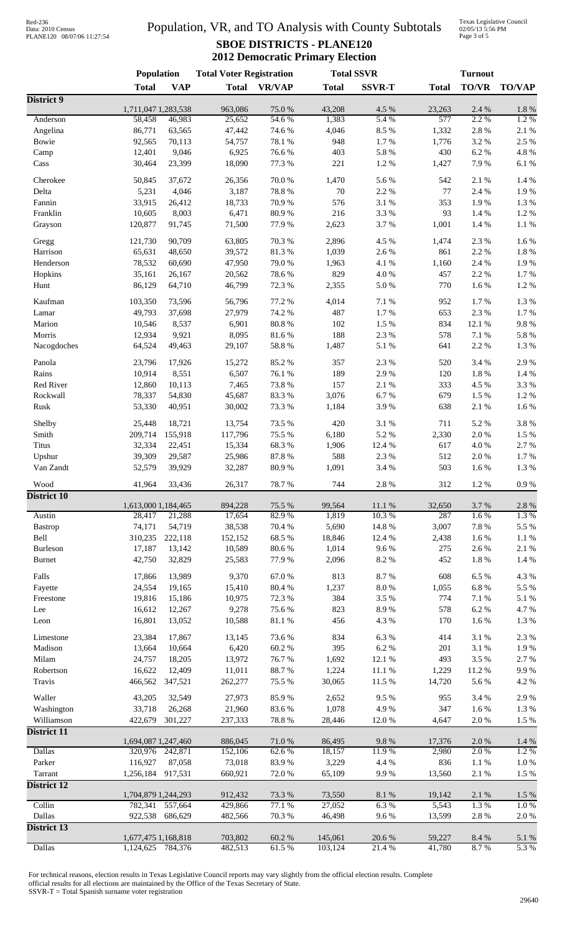# Data: 2010 Census PLANE120 08/07/06 11:27:54

## Population, VR, and TO Analysis with County Subtotals **SBOE DISTRICTS - PLANE120 2012 Democratic Primary Election**

Texas Legislative Council 02/05/13 5:56 PM Page 3 of 5

|                      | Population          |                  | <b>Total Voter Registration</b> |                |                | <b>Total SSVR</b> | <b>Turnout</b> |                |                |
|----------------------|---------------------|------------------|---------------------------------|----------------|----------------|-------------------|----------------|----------------|----------------|
|                      | <b>Total</b>        | <b>VAP</b>       | <b>Total</b>                    | <b>VR/VAP</b>  | <b>Total</b>   | <b>SSVR-T</b>     | <b>Total</b>   | TO/VR          | <b>TO/VAP</b>  |
| District 9           |                     |                  |                                 |                |                |                   |                |                |                |
|                      | 1,711,047 1,283,538 |                  | 963,086                         | 75.0%          | 43,208         | 4.5 %             | 23,263         | 2.4 %          | $1.8\ \%$      |
| Anderson<br>Angelina | 58,458              | 46,983           | 25,652<br>47,442                | 54.6%<br>74.6% | 1,383<br>4,046 | 5.4 %<br>8.5%     | 577            | 2.2 %<br>2.8 % | 1.2%           |
| Bowie                | 86,771<br>92,565    | 63,565<br>70,113 | 54,757                          | 78.1 %         | 948            | 1.7%              | 1,332<br>1,776 | 3.2 %          | 2.1 %<br>2.5 % |
| Camp                 | 12,401              | 9,046            | 6,925                           | 76.6%          | 403            | 5.8%              | 430            | 6.2%           | 4.8%           |
| Cass                 | 30,464              | 23,399           | 18,090                          | 77.3 %         | 221            | 1.2%              | 1,427          | 7.9%           | 6.1%           |
|                      |                     |                  |                                 |                |                |                   |                |                |                |
| Cherokee             | 50,845              | 37,672           | 26,356                          | 70.0%          | 1,470          | 5.6%              | 542            | 2.1 %          | 1.4 %          |
| Delta                | 5,231               | 4,046            | 3,187                           | 78.8%          | 70             | 2.2 %             | 77             | 2.4 %          | 1.9%           |
| Fannin               | 33,915              | 26,412           | 18,733                          | 70.9%          | 576            | 3.1%              | 353            | 1.9%           | 1.3%           |
| Franklin             | 10,605              | 8,003            | 6,471                           | 80.9%          | 216            | 3.3%              | 93             | 1.4 %          | 1.2%           |
| Grayson              | 120,877             | 91,745           | 71,500                          | 77.9%          | 2,623          | 3.7%              | 1,001          | 1.4 %          | 1.1%           |
| Gregg                | 121,730             | 90,709           | 63,805                          | 70.3 %         | 2,896          | 4.5 %             | 1,474          | 2.3 %          | 1.6%           |
| Harrison             | 65,631              | 48,650           | 39,572                          | 81.3%          | 1,039          | 2.6%              | 861            | 2.2 %          | 1.8 %          |
| Henderson            | 78,532              | 60,690           | 47,950                          | 79.0%          | 1,963          | 4.1 %             | 1,160          | 2.4 %          | 1.9%           |
| Hopkins              | 35,161              | 26,167           | 20,562                          | 78.6%          | 829            | 4.0%              | 457            | 2.2 %          | 1.7%           |
| Hunt                 | 86,129              | 64,710           | 46,799                          | 72.3 %         | 2,355          | $5.0\ \%$         | 770            | 1.6 %          | 1.2 %          |
| Kaufman              | 103,350             | 73,596           | 56,796                          | 77.2 %         | 4,014          | 7.1 %             | 952            | 1.7%           | 1.3%           |
| Lamar                | 49,793              | 37,698           | 27,979                          | 74.2 %         | 487            | 1.7%              | 653            | 2.3 %          | $1.7~\%$       |
| Marion               | 10,546              | 8,537            | 6,901                           | 80.8 %         | 102            | 1.5 %             | 834            | 12.1 %         | 9.8%           |
| Morris               | 12,934              | 9,921            | 8,095                           | 81.6%          | 188            | 2.3 %             | 578            | $7.1\ \%$      | 5.8 %          |
| Nacogdoches          | 64,524              | 49,463           | 29,107                          | 58.8 %         | 1,487          | 5.1 %             | 641            | 2.2 %          | 1.3%           |
|                      |                     |                  |                                 |                |                |                   |                |                |                |
| Panola               | 23,796              | 17,926           | 15,272                          | 85.2%          | 357            | 2.3 %             | 520            | 3.4 %          | 2.9%           |
| Rains                | 10,914              | 8,551            | 6,507                           | 76.1 %         | 189            | 2.9%              | 120            | $1.8~\%$       | 1.4 %          |
| Red River            | 12,860              | 10,113           | 7,465                           | 73.8%          | 157            | 2.1 %             | 333            | 4.5 %          | 3.3 %          |
| Rockwall             | 78,337              | 54,830           | 45,687                          | 83.3%          | 3,076          | 6.7%              | 679            | 1.5 %          | 1.2%           |
| Rusk                 | 53,330              | 40,951           | 30,002                          | 73.3 %         | 1,184          | 3.9%              | 638            | 2.1%           | 1.6%           |
| Shelby               | 25,448              | 18,721           | 13,754                          | 73.5 %         | 420            | 3.1%              | 711            | 5.2%           | 3.8%           |
| Smith                | 209,714             | 155,918          | 117,796                         | 75.5 %         | 6,180          | 5.2 %             | 2,330          | 2.0%           | 1.5 %          |
| <b>Titus</b>         | 32,334              | 22,451           | 15,334                          | 68.3%          | 1,906          | 12.4 %            | 617            | 4.0%           | 2.7%           |
| Upshur               | 39,309              | 29,587           | 25,986                          | 87.8 %         | 588            | 2.3 %             | 512            | 2.0%           | 1.7%           |
| Van Zandt            | 52,579              | 39,929           | 32,287                          | 80.9%          | 1,091          | 3.4 %             | 503            | 1.6%           | 1.3%           |
|                      |                     |                  |                                 |                |                |                   |                |                |                |
| Wood<br>District 10  | 41,964              | 33,436           | 26,317                          | 78.7%          | 744            | $2.8\ \%$         | 312            | $1.2~\%$       | $0.9\ \%$      |
|                      | 1,613,000 1,184,465 |                  | 894,228                         | 75.5 %         | 99,564         | 11.1%             | 32,650         | 3.7 %          | 2.8%           |
| Austin               | 28,417              | 21,288           | 17,654                          | 82.9%          | 1,819          | 10.3%             | 287            | 1.6%           | 1.3%           |
| <b>Bastrop</b>       | 74,171              | 54,719           | 38,538                          | 70.4 %         | 5,690          | 14.8 %            | 3,007          | $7.8\ \%$      | 5.5 %          |
| Bell                 | 310,235             | 222,118          | 152,152                         | 68.5%          | 18,846         | 12.4 %            | 2,438          | $1.6\ \%$      | $1.1~\%$       |
| Burleson             | 17,187              | 13,142           | 10,589                          | 80.6%          | 1,014          | 9.6%              | 275            | 2.6 %          | $2.1~\%$       |
| Burnet               | 42,750              | 32,829           | 25,583                          | 77.9%          | 2,096          | 8.2 %             | 452            | $1.8\ \%$      | 1.4 %          |
| Falls                | 17,866              | 13,989           | 9,370                           | 67.0%          | 813            | 8.7%              | 608            | 6.5 %          | 4.3 %          |
| Fayette              | 24,554              | 19,165           | 15,410                          | 80.4 %         | 1,237          | $8.0\ \%$         | 1,055          | $6.8~\%$       | 5.5 %          |
| Freestone            | 19,816              | 15,186           | 10,975                          | 72.3 %         | 384            | 3.5 %             | 774            | $7.1\ \%$      | $5.1~\%$       |
| Lee                  | 16,612              | 12,267           | 9,278                           | 75.6%          | 823            | 8.9%              | 578            | $6.2~\%$       | 4.7%           |
| Leon                 | 16,801              | 13,052           | 10,588                          | 81.1 %         | 456            | 4.3 %             | 170            | $1.6\ \%$      | $1.3~\%$       |
|                      |                     |                  |                                 |                |                |                   |                |                |                |
| Limestone            | 23,384              | 17,867           | 13,145                          | 73.6%          | 834            | 6.3 %             | 414            | 3.1 %          | 2.3 %          |
| Madison              | 13,664              | 10,664           | 6,420                           | 60.2%          | 395            | 6.2 %             | 201            | 3.1 %          | 1.9%           |
| Milam                | 24,757              | 18,205           | 13,972                          | 76.7%          | 1,692          | 12.1 %            | 493            | 3.5 %          | 2.7%           |
| Robertson            | 16,622              | 12,409           | 11,011                          | 88.7%          | 1,224          | 11.1%             | 1,229          | 11.2 %         | 9.9%           |
| Travis               | 466,562             | 347,521          | 262,277                         | 75.5 %         | 30,065         | 11.5 %            | 14,720         | 5.6 %          | 4.2 %          |
| Waller               | 43,205              | 32,549           | 27,973                          | 85.9%          | 2,652          | 9.5%              | 955            | 3.4 %          | 2.9%           |
| Washington           | 33,718              | 26,268           | 21,960                          | 83.6%          | 1,078          | 4.9%              | 347            | $1.6\ \%$      | 1.3 %          |
| Williamson           | 422,679             | 301,227          | 237,333                         | 78.8%          | 28,446         | 12.0%             | 4,647          | 2.0%           | $1.5~\%$       |
| District 11          |                     |                  |                                 |                |                |                   |                |                |                |
|                      | 1,694,087 1,247,460 |                  | 886,045                         | 71.0%          | 86,495         | 9.8%              | 17,376         | 2.0%           | 1.4 %          |
| <b>Dallas</b>        | 320,976             | 242,871          | 152,106                         | 62.6 %         | 18,157         | 11.9%             | 2,980          | 2.0%           | $1.2\%$        |
| Parker               | 116,927             | 87,058           | 73,018                          | 83.9%          | 3,229          | 4.4 %             | 836            | $1.1~\%$       | $1.0\ \%$      |
| Tarrant              | 1,256,184           | 917,531          | 660,921                         | 72.0%          | 65,109         | 9.9%              | 13,560         | 2.1 %          | $1.5~\%$       |
| <b>District 12</b>   |                     |                  |                                 |                |                |                   |                |                |                |
|                      | 1,704,879 1,244,293 |                  | 912,432                         | 73.3 %         | 73,550         | 8.1 %             | 19,142         | 2.1 %          | 1.5 %          |
| Collin               | 782,341             | 557,664          | 429,866                         | 77.1 %         | 27,052         | 6.3%              | 5,543          | 1.3%           | 1.0%           |
| Dallas               | 922,538             | 686,629          | 482,566                         | 70.3%          | 46,498         | 9.6%              | 13,599         | 2.8%           | $2.0\ \%$      |
| <b>District 13</b>   |                     |                  |                                 |                |                |                   |                |                |                |
|                      | 1,677,475 1,168,818 |                  | 703,802                         | 60.2%          | 145,061        | 20.6 %            | 59,227         | $8.4\ \%$      | $5.1~\%$       |
| <b>Dallas</b>        | 1,124,625           | 784,376          | 482,513                         | 61.5%          | 103,124        | 21.4%             | 41,780         | 8.7%           | 5.3%           |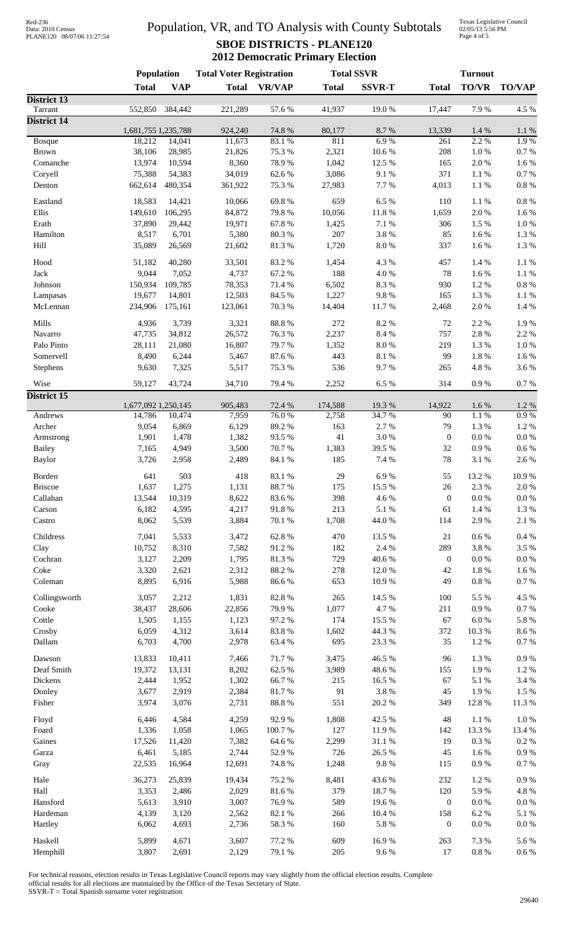| Red-236           |                            |
|-------------------|----------------------------|
| Data: 2010 Census |                            |
|                   | PLANE120 08/07/06 11:27:54 |

## Population, VR, and TO Analysis with County Subtotals **SBOE DISTRICTS - PLANE120 2012 Democratic Primary Election**

Texas Legislative Council 02/05/13 5:56 PM Page 4 of 5

|                                | <b>Population</b>   |                | <b>Total Voter Registration</b> |                 | <b>Total SSVR</b> |                  | <b>Turnout</b>   |                    |                    |
|--------------------------------|---------------------|----------------|---------------------------------|-----------------|-------------------|------------------|------------------|--------------------|--------------------|
|                                | <b>Total</b>        | <b>VAP</b>     | <b>Total</b>                    | <b>VR/VAP</b>   | <b>Total</b>      | <b>SSVR-T</b>    | <b>Total</b>     | <b>TO/VR</b>       | <b>TO/VAP</b>      |
| District 13                    |                     |                |                                 |                 |                   |                  |                  |                    |                    |
| Tarrant<br><b>District 14</b>  | 552,850             | 384,442        | 221,289                         | 57.6 %          | 41,937            | 19.0%            | 17,447           | 7.9%               | 4.5 %              |
|                                | 1,681,755 1,235,788 |                | 924,240                         | 74.8 %          | 80,177            | 8.7%             | 13,339           | 1.4 %              | $1.1\ \%$          |
| Bosque                         | 18,212              | 14,041         | 11,673                          | 83.1 %          | 811               | 6.9%             | 261              | 2.2 %              | 1.9%               |
| <b>Brown</b>                   | 38,106              | 28,985         | 21,826                          | 75.3 %          | 2,321             | 10.6 %           | 208              | $1.0\ \%$          | $0.7~\%$           |
| Comanche                       | 13,974              | 10,594         | 8,360                           | 78.9%           | 1,042             | 12.5 %           | 165              | 2.0%               | 1.6%               |
| Coryell                        | 75,388              | 54,383         | 34,019                          | 62.6%           | 3,086             | 9.1%             | 371              | $1.1\ \%$          | $0.7~\%$           |
| Denton                         | 662,614             | 480,354        | 361,922                         | 75.3 %          | 27,983            | 7.7%             | 4,013            | 1.1 %              | $0.8~\%$           |
| Eastland                       | 18,583              | 14,421         | 10,066                          | 69.8%           | 659               | 6.5%             | 110              | 1.1%               | $0.8~\%$           |
| Ellis                          | 149,610             | 106,295        | 84,872                          | 79.8%           | 10,056            | $11.8\ \%$       | 1,659            | 2.0%               | 1.6 %              |
| Erath                          | 37,890              | 29,442         | 19,971                          | 67.8%           | 1,425             | 7.1 %            | 306              | 1.5 %              | $1.0\ \%$          |
| Hamilton                       | 8,517               | 6,701          | 5,380                           | 80.3%           | 207               | 3.8%             | 85               | 1.6 %              | $1.3~\%$           |
| Hill                           | 35,089              | 26,569         | 21,602                          | 81.3%           | 1,720             | $8.0\ \%$        | 337              | 1.6 %              | $1.3~\%$           |
| Hood                           | 51,182              | 40,280         | 33,501                          | 83.2%           | 1,454             | 4.3 %            | 457              | 1.4 %              | $1.1~\%$           |
| Jack                           | 9,044               | 7,052          | 4,737                           | 67.2%           | 188               | 4.0%             | 78               | 1.6 %              | $1.1~\%$           |
| Johnson                        | 150,934             | 109,785        | 78,353                          | 71.4 %          | 6,502             | 8.3%             | 930              | $1.2~\%$           | $0.8~\%$           |
| Lampasas                       | 19,677              | 14,801         | 12,503                          | 84.5 %          | 1,227             | 9.8%             | 165              | 1.3%               | $1.1~\%$           |
| McLennan                       | 234,906             | 175,161        | 123,061                         | 70.3 %          | 14,404            | 11.7%            | 2,468            | 2.0%               | $1.4~\%$           |
| Mills                          | 4,936               | 3,739          | 3,321                           | 88.8 %          | 272               | 8.2%             | 72               | 2.2 %              | 1.9%               |
| Navarro                        | 47,735              | 34,812         | 26,572                          | 76.3%           | 2,237             | 8.4 %            | 757              | 2.8 %              | 2.2 %              |
| Palo Pinto                     | 28,111              | 21,080         | 16,807                          | 79.7%           | 1,352             | $8.0\ \%$        | 219              | 1.3%               | $1.0\ \%$          |
| Somervell                      | 8,490               | 6,244          | 5,467                           | 87.6%           | 443               | 8.1 %            | 99               | 1.8 %              | $1.6\ \%$          |
| Stephens                       | 9,630               | 7,325          | 5,517                           | 75.3 %          | 536               | 9.7%             | 265              | 4.8 %              | 3.6%               |
| Wise                           | 59,127              | 43,724         | 34,710                          | 79.4 %          | 2,252             | 6.5%             | 314              | $0.9\ \%$          | $0.7~\%$           |
| <b>District 15</b>             |                     |                |                                 |                 |                   |                  |                  |                    |                    |
|                                | 1,677,092 1,250,145 |                | 905,483                         | 72.4 %          | 174,588           | 19.3 %           | 14,922           | 1.6 %              | 1.2 %              |
| Andrews                        | 14,786              | 10,474         | 7,959                           | 76.0%           | 2,758             | 34.7%            | 90               | 1.1%               | 0.9%               |
| Archer                         | 9,054               | 6,869          | 6,129                           | 89.2%           | 163               | 2.7%             | 79               | 1.3 %              | 1.2%               |
| Armstrong                      | 1,901               | 1,478          | 1,382                           | 93.5%           | 41                | 3.0%             | $\mathbf{0}$     | $0.0\ \%$          | $0.0\ \%$          |
| <b>Bailey</b><br><b>Baylor</b> | 7,165<br>3,726      | 4,949<br>2,958 | 3,500<br>2,489                  | 70.7%<br>84.1 % | 1,383<br>185      | 39.5 %<br>7.4 %  | 32<br>78         | $0.9\ \%$<br>3.1 % | $0.6\ \%$<br>2.6 % |
|                                |                     |                |                                 |                 |                   |                  |                  |                    |                    |
| Borden                         | 641                 | 503            | 418                             | 83.1 %          | 29                | 6.9%             | 55               | 13.2 %             | 10.9%              |
| <b>Briscoe</b>                 | 1,637               | 1,275          | 1,131                           | 88.7%           | 175               | 15.5 %           | 26               | 2.3 %              | $2.0\ \%$          |
| Callahan                       | 13,544              | 10,319         | 8,622                           | 83.6%           | 398               | 4.6%             | $\mathbf{0}$     | $0.0\ \%$          | $0.0\ \%$          |
| Carson                         | 6,182               | 4,595          | 4,217                           | 91.8%           | 213               | $5.1~\%$         | 61               | $1.4~\%$           | $1.3~\%$           |
| Castro                         | 8,062               | 5,539          | 3,884                           | 70.1 %          | 1,708             | 44.0%            | 114              | 2.9%               | $2.1~\%$           |
| Childress                      | 7,041               | 5,533          | 3,472                           | 62.8%           | 470               | 13.5 %           | 21               | $0.6\,\%$          | $0.4~\%$           |
| Clay                           | 10,752              | 8,310          | 7,582                           | 91.2%           | 182               | 2.4 %            | 289              | 3.8%               | 3.5 %              |
| Cochran                        | 3,127               | 2,209          | 1,795                           | 81.3%           | 729               | 40.6%            | $\boldsymbol{0}$ | $0.0\ \%$          | $0.0\ \%$          |
| Coke                           | 3,320               | 2,621          | 2,312                           | 88.2%           | 278               | 12.0%            | 42               | $1.8\ \%$          | 1.6 %              |
| Coleman                        | 8,895               | 6,916          | 5,988                           | 86.6%           | 653               | 10.9%            | 49               | $0.8~\%$           | $0.7~\%$           |
| Collingsworth                  | 3,057               | 2,212          | 1,831                           | 82.8 %          | 265               | 14.5 %           | 100              | 5.5 %              | 4.5 %              |
| Cooke                          | 38,437              | 28,606         | 22,856                          | 79.9%           | 1,077             | 4.7%             | 211              | $0.9\ \%$          | $0.7~\%$           |
| Cottle                         | 1,505               | 1,155          | 1,123                           | 97.2%           | 174               | 15.5 %           | 67               | $6.0\ \%$          | $5.8~\%$           |
| Crosby                         | 6,059               | 4,312          | 3,614                           | 83.8%           | 1,602             | 44.3 %           | 372              | $10.3~\%$          | $8.6\;\%$          |
| Dallam                         | 6,703               | 4,700          | 2,978                           | 63.4%           | 695               | 23.3 %           | 35               | 1.2%               | $0.7~\%$           |
| Dawson                         | 13,833              | 10,411         | 7,466                           | 71.7%           | 3,475             | 46.5 %           | 96               | 1.3 %              | $0.9\ \%$          |
| Deaf Smith                     | 19,372              | 13,131         | 8,202                           | 62.5 %          | 3,989             | 48.6 %           | 155              | 1.9%               | $1.2~\%$           |
| Dickens                        | 2,444               | 1,952          | 1,302                           | 66.7%           | 215               | 16.5 %           | 67               | $5.1~\%$           | 3.4 %              |
| Donley                         | 3,677               | 2,919          | 2,384                           | 81.7%           | 91                | $3.8\ \%$        | 45               | 1.9%               | 1.5 %              |
| Fisher                         | 3,974               | 3,076          | 2,731                           | 88.8 %          | 551               | $20.2~\%$        | 349              | 12.8 %             | 11.3 %             |
| Floyd                          | 6,446               | 4,584          | 4,259                           | 92.9%           | 1,808             | 42.5 %           | 48               | $1.1\ \%$          | $1.0\ \%$          |
| Foard                          | 1,336               | 1,058          | 1,065                           | 100.7%          | 127               | 11.9%            | 142              | 13.3 %             | 13.4 %             |
| Gaines                         | 17,526              | 11,420         | 7,382                           | 64.6 %          | 2,299             | $31.1\text{ }\%$ | 19               | $0.3~\%$           | $0.2~\%$           |
| Garza                          | 6,461               | 5,185          | 2,744                           | 52.9%           | 726               | 26.5 %           | 45               | $1.6\ \%$          | $0.9\ \%$          |
| Gray                           | 22,535              | 16,964         | 12,691                          | 74.8 %          | 1,248             | $9.8\ \%$        | 115              | $0.9\ \%$          | $0.7~\%$           |
| Hale                           | 36,273              | 25,839         | 19,434                          | 75.2 %          | 8,481             | 43.6%            | 232              | $1.2~\%$           | $0.9\ \%$          |
| Hall                           | 3,353               | 2,486          | 2,029                           | 81.6%           | 379               | 18.7%            | 120              | 5.9%               | 4.8 %              |
| Hansford                       | 5,613               | 3,910          | 3,007                           | 76.9%           | 589               | 19.6%            | $\boldsymbol{0}$ | $0.0\ \%$          | $0.0\ \%$          |
| Hardeman                       | 4,139               | 3,120          | 2,562                           | $82.1\ \%$      | 266               | 10.4 %           | 158              | $6.2~\%$           | $5.1~\%$           |
| Hartley                        | 6,062               | 4,693          | 2,736                           | 58.3 %          | 160               | 5.8 %            | $\boldsymbol{0}$ | $0.0\ \%$          | $0.0\ \%$          |
| Haskell                        | 5,899               | 4,671          | 3,607                           | 77.2 %          | 609               | 16.9%            | 263              | 7.3 %              | 5.6 %              |
| Hemphill                       | 3,807               | 2,691          | 2,129                           | 79.1 %          | $205\,$           | $9.6\;\%$        | 17               | $0.8~\%$           | $0.6\ \%$          |